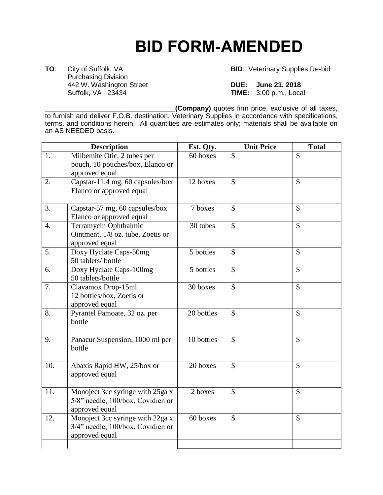## **BID FORM-AMENDED**

**TO**: City of Suffolk, VA **BID**: Veterinary Supplies Re-bid Purchasing Division 442 W. Washington Street **DUE: June 21, 2018**

**TIME:** 3:00 p.m., Local

**\_\_\_\_\_\_\_\_\_\_\_\_\_\_\_\_\_\_\_\_\_\_\_\_\_\_\_\_\_\_\_\_\_\_(Company)** quotes firm price, exclusive of all taxes,

to furnish and deliver F.O.B. destination, Veterinary Supplies in accordance with specifications, terms, and conditions herein. All quantities are estimates only; materials shall be available on an AS NEEDED basis.

| <b>Description</b> |                                                                                         | Est. Qty.  | <b>Unit Price</b>         | <b>Total</b>             |
|--------------------|-----------------------------------------------------------------------------------------|------------|---------------------------|--------------------------|
| 1.                 | Milbemite Otic, 2 tubes per<br>pouch, 10 pouches/box, Elanco or<br>approved equal       | 60 boxes   | $\mathcal{S}$             | $\mathcal{S}$            |
| 2.                 | Capstar-11.4 mg, 60 capsules/box<br>Elanco or approved equal                            | 12 boxes   | $\mathcal{S}$             | $\mathcal{S}$            |
| 3.                 | Capstar-57 mg, 60 capsules/box<br>Elanco or approved equal                              | 7 boxes    | $\mathcal{S}$             | $\mathcal{S}$            |
| 4.                 | Terramycin Ophthalmic<br>Ointment, 1/8 oz. tube, Zoetis or<br>approved equal            | 30 tubes   | $\mathcal{S}$             | $\mathcal{S}$            |
| 5.                 | Doxy Hyclate Caps-50mg<br>50 tablets/ bottle                                            | 5 bottles  | $\boldsymbol{\mathsf{S}}$ | $\mathcal{S}$            |
| 6.                 | Doxy Hyclate Caps-100mg<br>50 tablets/bottle                                            | 5 bottles  | $\mathcal{S}$             | $\mathcal{S}$            |
| 7.                 | Clavamox Drop-15ml<br>12 bottles/box, Zoetis or<br>approved equal                       | 30 boxes   | $\mathcal{S}$             | $\overline{\mathcal{S}}$ |
| 8.                 | Pyrantel Pamoate, 32 oz. per<br>bottle                                                  | 20 bottles | $\mathcal{S}$             | $\mathcal{S}$            |
| 9.                 | Panacur Suspension, 1000 ml per<br>bottle                                               | 10 bottles | $\mathcal{S}$             | $\mathcal{S}$            |
| 10.                | Abaxis Rapid HW, 25/box or<br>approved equal                                            | 20 boxes   | $\mathcal{S}$             | $\mathcal{S}$            |
| 11.                | Monoject 3cc syringe with 25ga x<br>5/8" needle, 100/box, Covidien or<br>approved equal | 2 boxes    | $\mathbb{S}$              | $\mathsf{\$}$            |
| 12.                | Monoject 3cc syringe with 22ga x<br>3/4" needle, 100/box, Covidien or<br>approved equal | 60 boxes   | $\mathcal{S}$             | $\mathcal{S}$            |
|                    |                                                                                         |            |                           |                          |